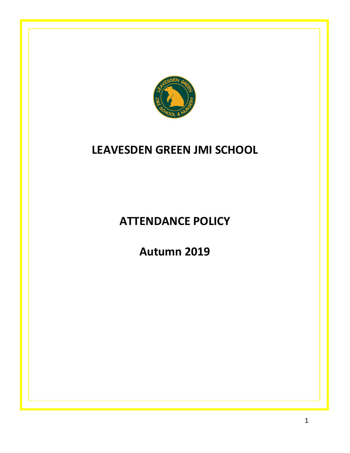

# **LEAVESDEN GREEN JMI SCHOOL**

**ATTENDANCE POLICY**

**Autumn 2019**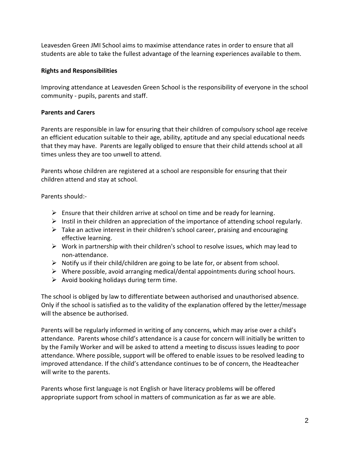Leavesden Green JMI School aims to maximise attendance rates in order to ensure that all students are able to take the fullest advantage of the learning experiences available to them.

## **Rights and Responsibilities**

Improving attendance at Leavesden Green School is the responsibility of everyone in the school community - pupils, parents and staff.

## **Parents and Carers**

Parents are responsible in law for ensuring that their children of compulsory school age receive an efficient education suitable to their age, ability, aptitude and any special educational needs that they may have. Parents are legally obliged to ensure that their child attends school at all times unless they are too unwell to attend.

Parents whose children are registered at a school are responsible for ensuring that their children attend and stay at school.

Parents should:-

- $\triangleright$  Ensure that their children arrive at school on time and be ready for learning.
- $\triangleright$  Instil in their children an appreciation of the importance of attending school regularly.
- $\triangleright$  Take an active interest in their children's school career, praising and encouraging effective learning.
- $\triangleright$  Work in partnership with their children's school to resolve issues, which may lead to non-attendance.
- $\triangleright$  Notify us if their child/children are going to be late for, or absent from school.
- $\triangleright$  Where possible, avoid arranging medical/dental appointments during school hours.
- $\triangleright$  Avoid booking holidays during term time.

The school is obliged by law to differentiate between authorised and unauthorised absence. Only if the school is satisfied as to the validity of the explanation offered by the letter/message will the absence be authorised.

Parents will be regularly informed in writing of any concerns, which may arise over a child's attendance. Parents whose child's attendance is a cause for concern will initially be written to by the Family Worker and will be asked to attend a meeting to discuss issues leading to poor attendance. Where possible, support will be offered to enable issues to be resolved leading to improved attendance. If the child's attendance continues to be of concern, the Headteacher will write to the parents.

Parents whose first language is not English or have literacy problems will be offered appropriate support from school in matters of communication as far as we are able.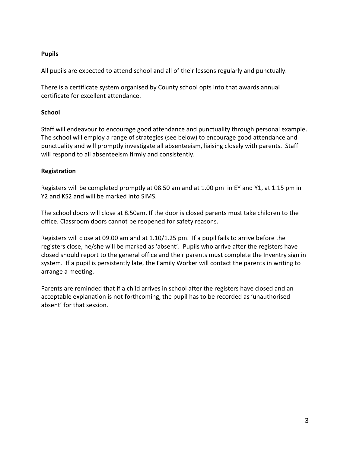## **Pupils**

All pupils are expected to attend school and all of their lessons regularly and punctually.

There is a certificate system organised by County school opts into that awards annual certificate for excellent attendance.

# **School**

Staff will endeavour to encourage good attendance and punctuality through personal example. The school will employ a range of strategies (see below) to encourage good attendance and punctuality and will promptly investigate all absenteeism, liaising closely with parents. Staff will respond to all absenteeism firmly and consistently.

# **Registration**

Registers will be completed promptly at 08.50 am and at 1.00 pm in EY and Y1, at 1.15 pm in Y2 and KS2 and will be marked into SIMS.

The school doors will close at 8.50am. If the door is closed parents must take children to the office. Classroom doors cannot be reopened for safety reasons.

Registers will close at 09.00 am and at 1.10/1.25 pm. If a pupil fails to arrive before the registers close, he/she will be marked as 'absent'. Pupils who arrive after the registers have closed should report to the general office and their parents must complete the Inventry sign in system. If a pupil is persistently late, the Family Worker will contact the parents in writing to arrange a meeting.

Parents are reminded that if a child arrives in school after the registers have closed and an acceptable explanation is not forthcoming, the pupil has to be recorded as 'unauthorised absent' for that session.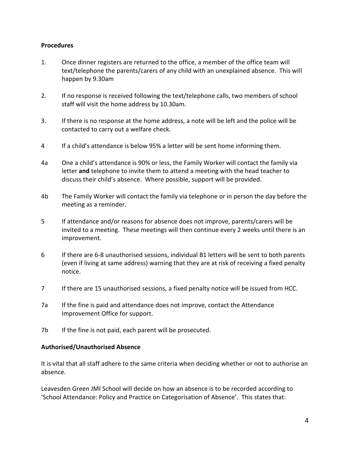### **Procedures**

- 1. Once dinner registers are returned to the office, a member of the office team will text/telephone the parents/carers of any child with an unexplained absence. This will happen by 9.30am
- 2. If no response is received following the text/telephone calls, two members of school staff will visit the home address by 10.30am.
- 3. If there is no response at the home address, a note will be left and the police will be contacted to carry out a welfare check.
- 4 If a child's attendance is below 95% a letter will be sent home informing them.
- 4a One a child's attendance is 90% or less, the Family Worker will contact the family via letter **and** telephone to invite them to attend a meeting with the head teacher to discuss their child's absence. Where possible, support will be provided.
- 4b The Family Worker will contact the family via telephone or in person the day before the meeting as a reminder.
- 5 If attendance and/or reasons for absence does not improve, parents/carers will be invited to a meeting. These meetings will then continue every 2 weeks until there is an improvement.
- 6 If there are 6-8 unauthorised sessions, individual B1 letters will be sent to both parents (even if living at same address) warning that they are at risk of receiving a fixed penalty notice.
- 7 If there are 15 unauthorised sessions, a fixed penalty notice will be issued from HCC.
- 7a If the fine is paid and attendance does not improve, contact the Attendance Improvement Office for support.
- 7b If the fine is not paid, each parent will be prosecuted.

#### **Authorised/Unauthorised Absence**

It is vital that all staff adhere to the same criteria when deciding whether or not to authorise an absence.

Leavesden Green JMI School will decide on how an absence is to be recorded according to 'School Attendance: Policy and Practice on Categorisation of Absence'. This states that: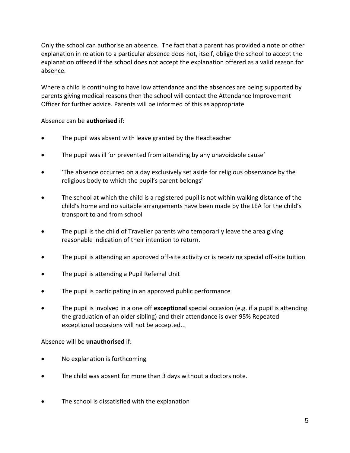Only the school can authorise an absence. The fact that a parent has provided a note or other explanation in relation to a particular absence does not, itself, oblige the school to accept the explanation offered if the school does not accept the explanation offered as a valid reason for absence.

Where a child is continuing to have low attendance and the absences are being supported by parents giving medical reasons then the school will contact the Attendance Improvement Officer for further advice. Parents will be informed of this as appropriate

## Absence can be **authorised** if:

- The pupil was absent with leave granted by the Headteacher
- The pupil was ill 'or prevented from attending by any unavoidable cause'
- 'The absence occurred on a day exclusively set aside for religious observance by the religious body to which the pupil's parent belongs'
- The school at which the child is a registered pupil is not within walking distance of the child's home and no suitable arrangements have been made by the LEA for the child's transport to and from school
- The pupil is the child of Traveller parents who temporarily leave the area giving reasonable indication of their intention to return.
- The pupil is attending an approved off-site activity or is receiving special off-site tuition
- The pupil is attending a Pupil Referral Unit
- The pupil is participating in an approved public performance
- The pupil is involved in a one off **exceptional** special occasion (e.g. if a pupil is attending the graduation of an older sibling) and their attendance is over 95% Repeated exceptional occasions will not be accepted...

## Absence will be **unauthorised** if:

- No explanation is forthcoming
- The child was absent for more than 3 days without a doctors note.
- The school is dissatisfied with the explanation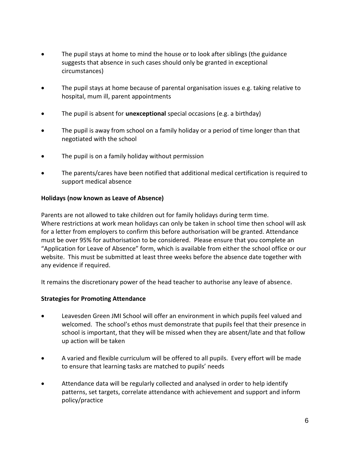- The pupil stays at home to mind the house or to look after siblings (the guidance suggests that absence in such cases should only be granted in exceptional circumstances)
- The pupil stays at home because of parental organisation issues e.g. taking relative to hospital, mum ill, parent appointments
- The pupil is absent for **unexceptional** special occasions (e.g. a birthday)
- The pupil is away from school on a family holiday or a period of time longer than that negotiated with the school
- The pupil is on a family holiday without permission
- The parents/cares have been notified that additional medical certification is required to support medical absence

# **Holidays (now known as Leave of Absence)**

Parents are not allowed to take children out for family holidays during term time. Where restrictions at work mean holidays can only be taken in school time then school will ask for a letter from employers to confirm this before authorisation will be granted. Attendance must be over 95% for authorisation to be considered. Please ensure that you complete an "Application for Leave of Absence" form, which is available from either the school office or our website. This must be submitted at least three weeks before the absence date together with any evidence if required.

It remains the discretionary power of the head teacher to authorise any leave of absence.

## **Strategies for Promoting Attendance**

- Leavesden Green JMI School will offer an environment in which pupils feel valued and welcomed. The school's ethos must demonstrate that pupils feel that their presence in school is important, that they will be missed when they are absent/late and that follow up action will be taken
- A varied and flexible curriculum will be offered to all pupils. Every effort will be made to ensure that learning tasks are matched to pupils' needs
- Attendance data will be regularly collected and analysed in order to help identify patterns, set targets, correlate attendance with achievement and support and inform policy/practice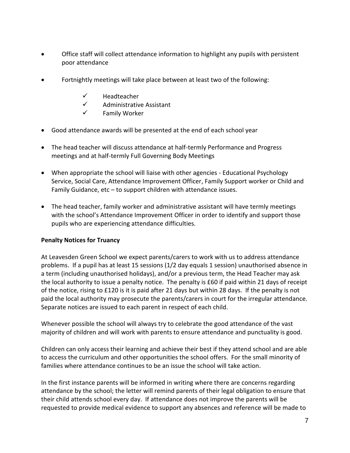- Office staff will collect attendance information to highlight any pupils with persistent poor attendance
- Fortnightly meetings will take place between at least two of the following:
	- $\checkmark$  Headteacher
	- $\checkmark$  Administrative Assistant
	- $\checkmark$  Family Worker
- Good attendance awards will be presented at the end of each school year
- The head teacher will discuss attendance at half-termly Performance and Progress meetings and at half-termly Full Governing Body Meetings
- When appropriate the school will liaise with other agencies Educational Psychology Service, Social Care, Attendance Improvement Officer, Family Support worker or Child and Family Guidance, etc - to support children with attendance issues.
- The head teacher, family worker and administrative assistant will have termly meetings with the school's Attendance Improvement Officer in order to identify and support those pupils who are experiencing attendance difficulties.

## **Penalty Notices for Truancy**

At Leavesden Green School we expect parents/carers to work with us to address attendance problems. If a pupil has at least 15 sessions (1/2 day equals 1 session) unauthorised absence in a term (including unauthorised holidays), and/or a previous term, the Head Teacher may ask the local authority to issue a penalty notice. The penalty is £60 if paid within 21 days of receipt of the notice, rising to £120 is it is paid after 21 days but within 28 days. If the penalty is not paid the local authority may prosecute the parents/carers in court for the irregular attendance. Separate notices are issued to each parent in respect of each child.

Whenever possible the school will always try to celebrate the good attendance of the vast majority of children and will work with parents to ensure attendance and punctuality is good.

Children can only access their learning and achieve their best if they attend school and are able to access the curriculum and other opportunities the school offers. For the small minority of families where attendance continues to be an issue the school will take action.

In the first instance parents will be informed in writing where there are concerns regarding attendance by the school; the letter will remind parents of their legal obligation to ensure that their child attends school every day. If attendance does not improve the parents will be requested to provide medical evidence to support any absences and reference will be made to